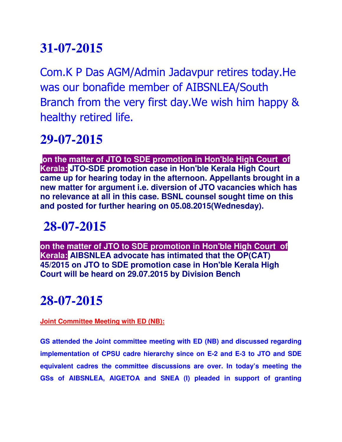Com.K P Das AGM/Admin Jadavpur retires today.He was our bonafide member of AIBSNLEA/South Branch from the very first day.We wish him happy & healthy retired life.

#### **29-07-2015**

 **on the matter of JTO to SDE promotion in Hon'ble High Court of Kerala: JTO-SDE promotion case in Hon'ble Kerala High Court came up for hearing today in the afternoon. Appellants brought in a new matter for argument i.e. diversion of JTO vacancies which has no relevance at all in this case. BSNL counsel sought time on this and posted for further hearing on 05.08.2015(Wednesday).**

## **28-07-2015**

**on the matter of JTO to SDE promotion in Hon'ble High Court of Kerala: AIBSNLEA advocate has intimated that the OP(CAT) 45/2015 on JTO to SDE promotion case in Hon'ble Kerala High Court will be heard on 29.07.2015 by Division Bench**

## **28-07-2015**

#### **Joint Committee Meeting with ED (NB):**

**GS attended the Joint committee meeting with ED (NB) and discussed regarding implementation of CPSU cadre hierarchy since on E-2 and E-3 to JTO and SDE equivalent cadres the committee discussions are over. In today's meeting the GSs of AIBSNLEA, AIGETOA and SNEA (I) pleaded in support of granting**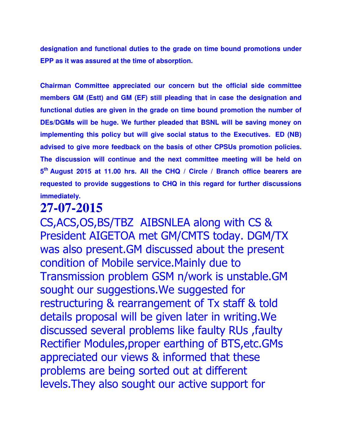**designation and functional duties to the grade on time bound promotions under EPP as it was assured at the time of absorption.**

**Chairman Committee appreciated our concern but the official side committee members GM (Estt) and GM (EF) still pleading that in case the designation and functional duties are given in the grade on time bound promotion the number of DEs/DGMs will be huge. We further pleaded that BSNL will be saving money on implementing this policy but will give social status to the Executives. ED (NB) advised to give more feedback on the basis of other CPSUs promotion policies. The discussion will continue and the next committee meeting will be held on 5 th August 2015 at 11.00 hrs. All the CHQ / Circle / Branch office bearers are requested to provide suggestions to CHQ in this regard for further discussions immediately.**

### **27-07-2015**

CS,ACS,OS,BS/TBZ AIBSNLEA along with CS & President AIGETOA met GM/CMTS today. DGM/TX was also present.GM discussed about the present condition of Mobile service.Mainly due to Transmission problem GSM n/work is unstable.GM sought our suggestions.We suggested for restructuring & rearrangement of Tx staff & told details proposal will be given later in writing.We discussed several problems like faulty RUs ,faulty Rectifier Modules,proper earthing of BTS,etc.GMs appreciated our views & informed that these problems are being sorted out at different levels.They also sought our active support for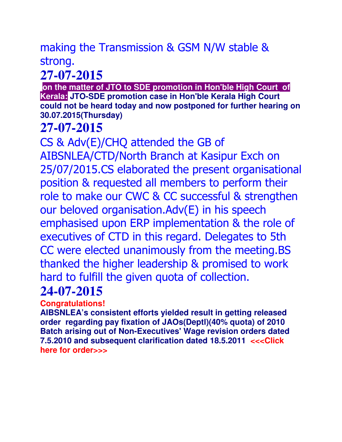### making the Transmission & GSM N/W stable & strong.

# **27-07-2015**

 **on the matter of JTO to SDE promotion in Hon'ble High Court of Kerala: JTO-SDE promotion case in Hon'ble Kerala High Court could not be heard today and now postponed for further hearing on 30.07.2015(Thursday)**

## **27-07-2015**

CS & Adv(E)/CHQ attended the GB of AIBSNLEA/CTD/North Branch at Kasipur Exch on 25/07/2015.CS elaborated the present organisational position & requested all members to perform their role to make our CWC & CC successful & strengthen our beloved organisation.Adv(E) in his speech emphasised upon ERP implementation & the role of executives of CTD in this regard. Delegates to 5th CC were elected unanimously from the meeting.BS thanked the higher leadership & promised to work hard to fulfill the given quota of collection.

### **24-07-2015**

**Congratulations!** 

**AIBSNLEA's consistent efforts yielded result in getting released order regarding pay fixation of JAOs(Deptl)(40% quota) of 2010 Batch arising out of Non-Executives' Wage revision orders dated 7.5.2010 and subsequent clarification dated 18.5.2011 <<<Click here for order>>>**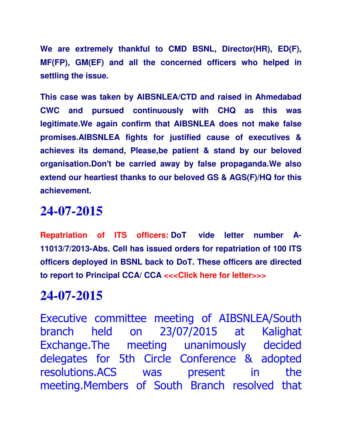**We are extremely thankful to CMD BSNL, Director(HR), ED(F), MF(FP), GM(EF) and all the concerned officers who helped in settling the issue.**

**This case was taken by AIBSNLEA/CTD and raised in Ahmedabad CWC and pursued continuously with CHQ as this was legitimate.We again confirm that AIBSNLEA does not make false promises.AIBSNLEA fights for justified cause of executives & achieves its demand, Please,be patient & stand by our beloved organisation.Don't be carried away by false propaganda.We also extend our heartiest thanks to our beloved GS & AGS(F)/HQ for this achievement.**

#### **24-07-2015**

**Repatriation of ITS officers: DoT vide letter number A-11013/7/2013-Abs. Cell has issued orders for repatriation of 100 ITS officers deployed in BSNL back to DoT. These officers are directed to report to Principal CCA/ CCA <<<Click here for letter>>>**

### **24-07-2015**

Executive committee meeting of AIBSNLEA/South branch held on 23/07/2015 at Kalighat Exchange.The meeting unanimously decided delegates for 5th Circle Conference & adopted resolutions.ACS was present in the meeting.Members of South Branch resolved that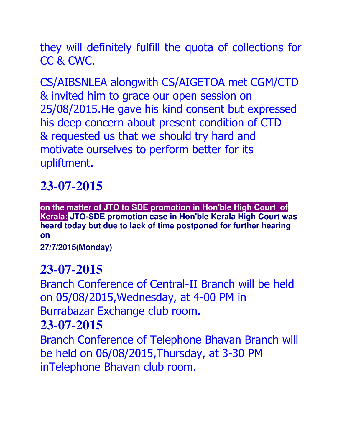they will definitely fulfill the quota of collections for CC & CWC.

CS/AIBSNLEA alongwith CS/AIGETOA met CGM/CTD & invited him to grace our open session on 25/08/2015.He gave his kind consent but expressed his deep concern about present condition of CTD & requested us that we should try hard and motivate ourselves to perform better for its upliftment.

## **23-07-2015**

<u>Up a construction of the construction of the construction of the construction of the construction of the construction of the construction of the construction of the construction of the construction of the construction of </u> **on the matter of JTO to SDE promotion in Hon'ble High Court of Kerala: JTO-SDE promotion case in Hon'ble Kerala High Court was heard today but due to lack of time postponed for further hearing on** 

**27/7/2015(Monday)**

### **23-07-2015**

Branch Conference of Central-II Branch will be held on 05/08/2015,Wednesday, at 4-00 PM in Burrabazar Exchange club room.

#### **23-07-2015**

Branch Conference of Telephone Bhavan Branch will be held on 06/08/2015,Thursday, at 3-30 PM inTelephone Bhavan club room.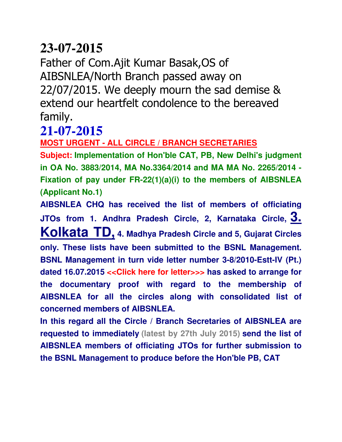Father of Com.Ajit Kumar Basak,OS of AIBSNLEA/North Branch passed away on 22/07/2015. We deeply mourn the sad demise & extend our heartfelt condolence to the bereaved family.

#### **21-07-2015**

**MOST URGENT - ALL CIRCLE / BRANCH SECRETARIES**

**Subject: Implementation of Hon'ble CAT, PB, New Delhi's judgment in OA No. 3883/2014, MA No.3364/2014 and MA MA No. 2265/2014 - Fixation of pay under FR-22(1)(a)(i) to the members of AIBSNLEA (Applicant No.1)**

**AIBSNLEA CHQ has received the list of members of officiating JTOs from 1. Andhra Pradesh Circle, 2, Karnataka Circle, 3. Kolkata TD, 4. Madhya Pradesh Circle and 5, Gujarat Circles only. These lists have been submitted to the BSNL Management. BSNL Management in turn vide letter number 3-8/2010-Estt-IV (Pt.) dated 16.07.2015 <<Click here for letter>>> has asked to arrange for the documentary proof with regard to the membership of AIBSNLEA for all the circles along with consolidated list of concerned members of AIBSNLEA.**

**In this regard all the Circle / Branch Secretaries of AIBSNLEA are requested to immediately (latest by 27th July 2015) send the list of AIBSNLEA members of officiating JTOs for further submission to the BSNL Management to produce before the Hon'ble PB, CAT**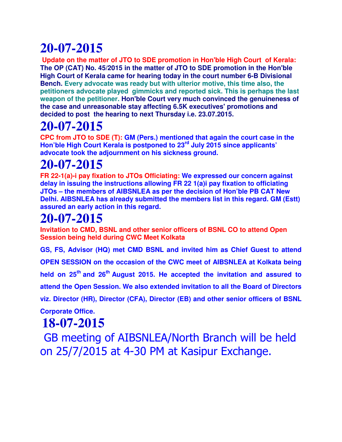**Update on the matter of JTO to SDE promotion in Hon'ble High Court of Kerala: The OP (CAT) No. 45/2015 in the matter of JTO to SDE promotion in the Hon'ble High Court of Kerala came for hearing today in the court number 6-B Divisional Bench. Every advocate was ready but with ulterior motive, this time also, the petitioners advocate played gimmicks and reported sick. This is perhaps the last weapon of the petitioner. Hon'ble Court very much convinced the genuineness of the case and unreasonable stay affecting 6.5K executives' promotions and decided to post the hearing to next Thursday i.e. 23.07.2015.**

## **20-07-2015**

**CPC from JTO to SDE (T): GM (Pers.) mentioned that again the court case in the Hon'ble High Court Kerala is postponed to 23rd July 2015 since applicants' advocate took the adjournment on his sickness ground.**

## **20-07-2015**

**FR 22-1(a)-i pay fixation to JTOs Officiating: We expressed our concern against delay in issuing the instructions allowing FR 22 1(a)i pay fixation to officiating JTOs – the members of AIBSNLEA as per the decision of Hon'ble PB CAT New Delhi. AIBSNLEA has already submitted the members list in this regard. GM (Estt) assured an early action in this regard.**

## **20-07-2015**

**Invitation to CMD, BSNL and other senior officers of BSNL CO to attend Open Session being held during CWC Meet Kolkata**

**GS, FS, Advisor (HQ) met CMD BSNL and invited him as Chief Guest to attend OPEN SESSION on the occasion of the CWC meet of AIBSNLEA at Kolkata being held on 25th and 26th August 2015. He accepted the invitation and assured to attend the Open Session. We also extended invitation to all the Board of Directors viz. Director (HR), Director (CFA), Director (EB) and other senior officers of BSNL Corporate Office.**

## **18-07-2015**

 GB meeting of AIBSNLEA/North Branch will be held on 25/7/2015 at 4-30 PM at Kasipur Exchange.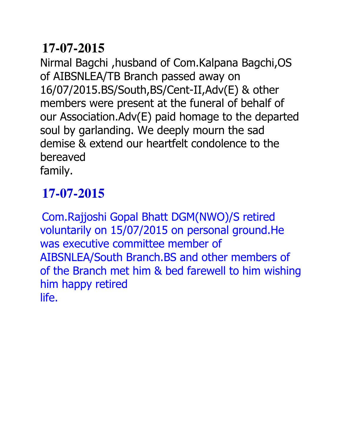Nirmal Bagchi ,husband of Com.Kalpana Bagchi,OS of AIBSNLEA/TB Branch passed away on 16/07/2015.BS/South,BS/Cent-II,Adv(E) & other members were present at the funeral of behalf of our Association.Adv(E) paid homage to the departed soul by garlanding. We deeply mourn the sad demise & extend our heartfelt condolence to the bereaved family.

## **17-07-2015**

Com.Rajjoshi Gopal Bhatt DGM(NWO)/S retired voluntarily on 15/07/2015 on personal ground.He was executive committee member of AIBSNLEA/South Branch.BS and other members of of the Branch met him & bed farewell to him wishing him happy retired life.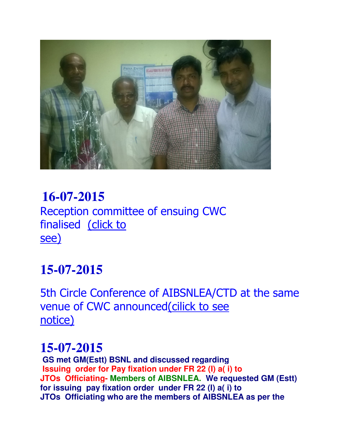

#### **16-07-2015**  Reception committee of ensuing CWC finalised (click to see) Ξ

## **15-07-2015**

5th Circle Conference of AIBSNLEA/CTD at the same venue of CWC announced(cilick to see notice)

### **15-07-2015**

**GS met GM(Estt) BSNL and discussed regarding Issuing order for Pay fixation under FR 22 (I) a( i) to JTOs Officiating- Members of AIBSNLEA. We requested GM (Estt) for issuing pay fixation order under FR 22 (I) a( i) to JTOs Officiating who are the members of AIBSNLEA as per the**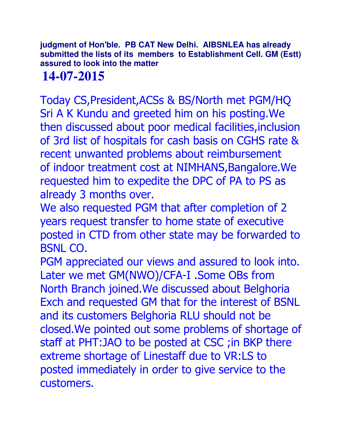**judgment of Hon'ble. PB CAT New Delhi. AIBSNLEA has already submitted the lists of its members to Establishment Cell. GM (Estt) assured to look into the matter** 

## **14-07-2015**

Today CS,President,ACSs & BS/North met PGM/HQ Sri A K Kundu and greeted him on his posting.We then discussed about poor medical facilities,inclusion of 3rd list of hospitals for cash basis on CGHS rate & recent unwanted problems about reimbursement of indoor treatment cost at NIMHANS, Bangalore. We requested him to expedite the DPC of PA to PS as already 3 months over.

We also requested PGM that after completion of 2 years request transfer to home state of executive posted in CTD from other state may be forwarded to BSNL CO.

PGM appreciated our views and assured to look into. Later we met GM(NWO)/CFA-I .Some OBs from North Branch joined.We discussed about Belghoria Exch and requested GM that for the interest of BSNL and its customers Belghoria RLU should not be closed.We pointed out some problems of shortage of staff at PHT:JAO to be posted at CSC ;in BKP there extreme shortage of Linestaff due to VR:LS to posted immediately in order to give service to the customers.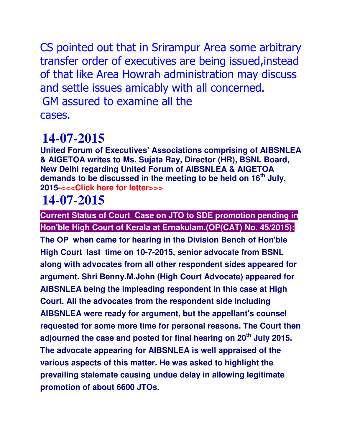CS pointed out that in Srirampur Area some arbitrary transfer order of executives are being issued,instead of that like Area Howrah administration may discuss and settle issues amicably with all concerned. GM assured to examine all the cases.

## **14-07-2015**

**United Forum of Executives' Associations comprising of AIBSNLEA & AIGETOA writes to Ms. Sujata Ray, Director (HR), BSNL Board, New Delhi regarding United Forum of AIBSNLEA & AIGETOA demands to be discussed in the meeting to be held on 16th July, 2015-<<<Click here for letter>>>**

## **14-07-2015**

**Current Status of Court Case on JTO to SDE promotion pending in Hon'ble High Court of Kerala at Ernakulam.(OP(CAT) No. 45/2015):**

**The OP when came for hearing in the Division Bench of Hon'ble High Court last time on 10-7-2015, senior advocate from BSNL along with advocates from all other respondent sides appeared for argument. Shri Benny.M.John (High Court Advocate) appeared for AIBSNLEA being the impleading respondent in this case at High Court. All the advocates from the respondent side including AIBSNLEA were ready for argument, but the appellant's counsel requested for some more time for personal reasons. The Court then adjourned the case and posted for final hearing on 20th July 2015. The advocate appearing for AIBSNLEA is well appraised of the various aspects of this matter. He was asked to highlight the prevailing stalemate causing undue delay in allowing legitimate promotion of about 6600 JTOs.**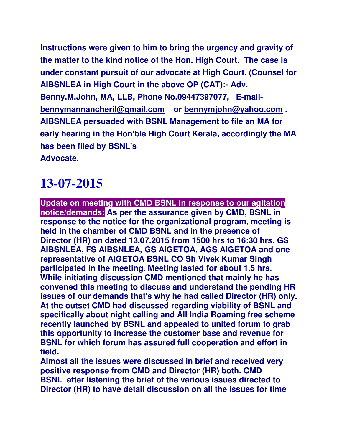**Instructions were given to him to bring the urgency and gravity of the matter to the kind notice of the Hon. High Court. The case is under constant pursuit of our advocate at High Court. (Counsel for AIBSNLEA in High Court in the above OP (CAT):- Adv. Benny.M.John, MA, LLB, Phone No.09447397077, E-mailbennymannancheril@gmail.com or bennymjohn@yahoo.com . AIBSNLEA persuaded with BSNL Management to file an MA for early hearing in the Hon'ble High Court Kerala, accordingly the MA has been filed by BSNL's Advocate.** 

## **13-07-2015**

**Update on meeting with CMD BSNL in response to our agitation notice/demands: As per the assurance given by CMD, BSNL in response to the notice for the organizational program, meeting is held in the chamber of CMD BSNL and in the presence of Director (HR) on dated 13.07.2015 from 1500 hrs to 16:30 hrs. GS AIBSNLEA, FS AIBSNLEA, GS AIGETOA, AGS AIGETOA and one representative of AIGETOA BSNL CO Sh Vivek Kumar Singh participated in the meeting. Meeting lasted for about 1.5 hrs. While initiating discussion CMD mentioned that mainly he has convened this meeting to discuss and understand the pending HR issues of our demands that's why he had called Director (HR) only. At the outset CMD had discussed regarding viability of BSNL and specifically about night calling and All India Roaming free scheme recently launched by BSNL and appealed to united forum to grab this opportunity to increase the customer base and revenue for BSNL for which forum has assured full cooperation and effort in field.** 

**Almost all the issues were discussed in brief and received very positive response from CMD and Director (HR) both. CMD BSNL after listening the brief of the various issues directed to Director (HR) to have detail discussion on all the issues for time**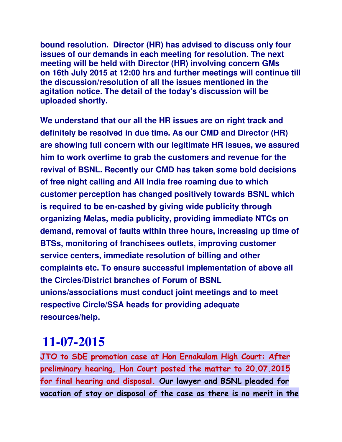**bound resolution. Director (HR) has advised to discuss only four issues of our demands in each meeting for resolution. The next meeting will be held with Director (HR) involving concern GMs on 16th July 2015 at 12:00 hrs and further meetings will continue till the discussion/resolution of all the issues mentioned in the agitation notice. The detail of the today's discussion will be uploaded shortly.**

**We understand that our all the HR issues are on right track and definitely be resolved in due time. As our CMD and Director (HR) are showing full concern with our legitimate HR issues, we assured him to work overtime to grab the customers and revenue for the revival of BSNL. Recently our CMD has taken some bold decisions of free night calling and All India free roaming due to which customer perception has changed positively towards BSNL which is required to be en-cashed by giving wide publicity through organizing Melas, media publicity, providing immediate NTCs on demand, removal of faults within three hours, increasing up time of BTSs, monitoring of franchisees outlets, improving customer service centers, immediate resolution of billing and other complaints etc. To ensure successful implementation of above all the Circles/District branches of Forum of BSNL unions/associations must conduct joint meetings and to meet respective Circle/SSA heads for providing adequate resources/help.**

### **11-07-2015**

**JTO to SDE promotion case at Hon Ernakulam High Court: After preliminary hearing, Hon Court posted the matter to 20.07.2015 for final hearing and disposal. Our lawyer and BSNL pleaded for vacation of stay or disposal of the case as there is no merit in the**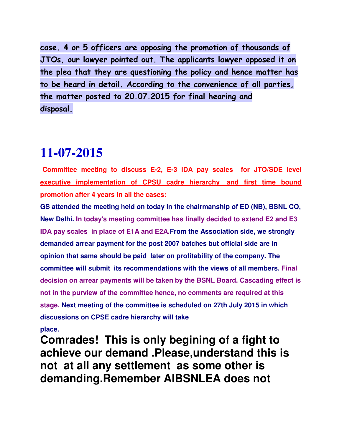**case. 4 or 5 officers are opposing the promotion of thousands of JTOs, our lawyer pointed out. The applicants lawyer opposed it on the plea that they are questioning the policy and hence matter has to be heard in detail. According to the convenience of all parties, the matter posted to 20.07.2015 for final hearing and disposal.** 

#### **11-07-2015**

**Committee meeting to discuss E-2, E-3 IDA pay scales for JTO/SDE level executive implementation of CPSU cadre hierarchy and first time bound promotion after 4 years in all the cases:**

**GS attended the meeting held on today in the chairmanship of ED (NB), BSNL CO, New Delhi. In today's meeting committee has finally decided to extend E2 and E3 IDA pay scales in place of E1A and E2A.From the Association side, we strongly demanded arrear payment for the post 2007 batches but official side are in opinion that same should be paid later on profitability of the company. The committee will submit its recommendations with the views of all members. Final decision on arrear payments will be taken by the BSNL Board. Cascading effect is not in the purview of the committee hence, no comments are required at this stage. Next meeting of the committee is scheduled on 27th July 2015 in which discussions on CPSE cadre hierarchy will take** 

**place.** 

**Comrades! This is only begining of a fight to achieve our demand .Please,understand this is not at all any settlement as some other is demanding.Remember AIBSNLEA does not**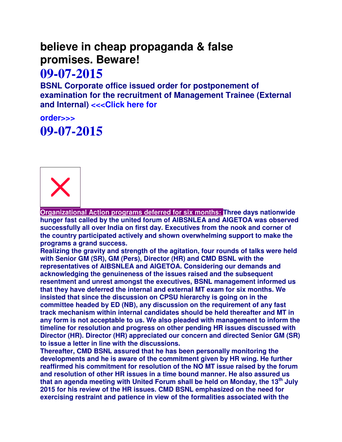#### **believe in cheap propaganda & false promises. Beware!**

#### **09-07-2015**

**BSNL Corporate office issued order for postponement of examination for the recruitment of Management Trainee (External**  and Internal) <<< Click here for

#### **order>>> 09-07-2015**



**Organizational Action programs deferred for six months: Three days nationwide hunger fast called by the united forum of AIBSNLEA and AIGETOA was observed successfully all over India on first day. Executives from the nook and corner of the country participated actively and shown overwhelming support to make the programs a grand success.**

**Realizing the gravity and strength of the agitation, four rounds of talks were held with Senior GM (SR), GM (Pers), Director (HR) and CMD BSNL with the representatives of AIBSNLEA and AIGETOA. Considering our demands and acknowledging the genuineness of the issues raised and the subsequent resentment and unrest amongst the executives, BSNL management informed us that they have deferred the internal and external MT exam for six months. We insisted that since the discussion on CPSU hierarchy is going on in the committee headed by ED (NB), any discussion on the requirement of any fast track mechanism within internal candidates should be held thereafter and MT in any form is not acceptable to us. We also pleaded with management to inform the timeline for resolution and progress on other pending HR issues discussed with Director (HR). Director (HR) appreciated our concern and directed Senior GM (SR) to issue a letter in line with the discussions.**

**Thereafter, CMD BSNL assured that he has been personally monitoring the developments and he is aware of the commitment given by HR wing. He further reaffirmed his commitment for resolution of the NO MT issue raised by the forum and resolution of other HR issues in a time bound manner. He also assured us that an agenda meeting with United Forum shall be held on Monday, the 13th July 2015 for his review of the HR issues. CMD BSNL emphasized on the need for exercising restraint and patience in view of the formalities associated with the**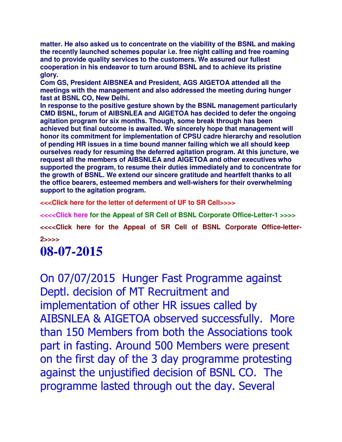**matter. He also asked us to concentrate on the viability of the BSNL and making the recently launched schemes popular i.e. free night calling and free roaming and to provide quality services to the customers. We assured our fullest cooperation in his endeavor to turn around BSNL and to achieve its pristine glory.**

**Com GS, President AIBSNEA and President, AGS AIGETOA attended all the meetings with the management and also addressed the meeting during hunger fast at BSNL CO, New Delhi.**

**In response to the positive gesture shown by the BSNL management particularly CMD BSNL, forum of AIBSNLEA and AIGETOA has decided to defer the ongoing agitation program for six months. Though, some break through has been achieved but final outcome is awaited. We sincerely hope that management will honor its commitment for implementation of CPSU cadre hierarchy and resolution of pending HR issues in a time bound manner failing which we all should keep ourselves ready for resuming the deferred agitation program. At this juncture, we request all the members of AIBSNLEA and AIGETOA and other executives who supported the program, to resume their duties immediately and to concentrate for the growth of BSNL. We extend our sincere gratitude and heartfelt thanks to all the office bearers, esteemed members and well-wishers for their overwhelming support to the agitation program.**

**<<<Click here for the letter of deferment of UF to SR Cell>>>>**

**<<<<Click here for the Appeal of SR Cell of BSNL Corporate Office-Letter-1 >>>>** <<<< Click here for the Appeal of SR Cell of BSNL Corporate Office-letter-

**2>>>>** 

### **08-07-2015**

On 07/07/2015 Hunger Fast Programme against Deptl. decision of MT Recruitment and implementation of other HR issues called by AIBSNLEA & AIGETOA observed successfully. More than 150 Members from both the Associations took part in fasting. Around 500 Members were present on the first day of the 3 day programme protesting against the unjustified decision of BSNL CO. The programme lasted through out the day. Several